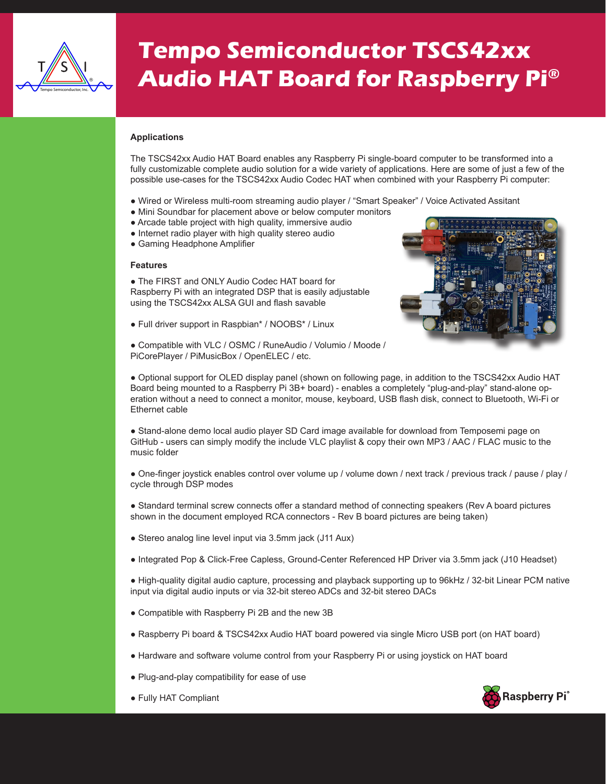

## **Tempo Semiconductor TSCS42xx Audio HAT Board for Raspberry Pi®**

## **Applications**

The TSCS42xx Audio HAT Board enables any Raspberry Pi single-board computer to be transformed into a fully customizable complete audio solution for a wide variety of applications. Here are some of just a few of the possible use-cases for the TSCS42xx Audio Codec HAT when combined with your Raspberry Pi computer:

- Wired or Wireless multi-room streaming audio player / "Smart Speaker" / Voice Activated Assitant
- Mini Soundbar for placement above or below computer monitors
- Arcade table project with high quality, immersive audio
- Internet radio player with high quality stereo audio
- Gaming Headphone Amplifier

## **Features**

• The FIRST and ONLY Audio Codec HAT board for Raspberry Pi with an integrated DSP that is easily adjustable using the TSCS42xx ALSA GUI and flash savable

● Full driver support in Raspbian\* / NOOBS\* / Linux

● Compatible with VLC / OSMC / RuneAudio / Volumio / Moode / PiCorePlayer / PiMusicBox / OpenELEC / etc.



● Optional support for OLED display panel (shown on following page, in addition to the TSCS42xx Audio HAT Board being mounted to a Raspberry Pi 3B+ board) - enables a completely "plug-and-play" stand-alone operation without a need to connect a monitor, mouse, keyboard, USB flash disk, connect to Bluetooth, Wi-Fi or Ethernet cable

● Stand-alone demo local audio player SD Card image available for download from Temposemi page on GitHub - users can simply modify the include VLC playlist & copy their own MP3 / AAC / FLAC music to the music folder

• One-finger joystick enables control over volume up / volume down / next track / previous track / pause / play / cycle through DSP modes

- Standard terminal screw connects offer a standard method of connecting speakers (Rev A board pictures shown in the document employed RCA connectors - Rev B board pictures are being taken)
- Stereo analog line level input via 3.5mm jack (J11 Aux)
- Integrated Pop & Click-Free Capless, Ground-Center Referenced HP Driver via 3.5mm jack (J10 Headset)

● High-quality digital audio capture, processing and playback supporting up to 96kHz / 32-bit Linear PCM native input via digital audio inputs or via 32-bit stereo ADCs and 32-bit stereo DACs

- Compatible with Raspberry Pi 2B and the new 3B
- Raspberry Pi board & TSCS42xx Audio HAT board powered via single Micro USB port (on HAT board)
- Hardware and software volume control from your Raspberry Pi or using joystick on HAT board
- Plug-and-play compatibility for ease of use



● Fully HAT Compliant